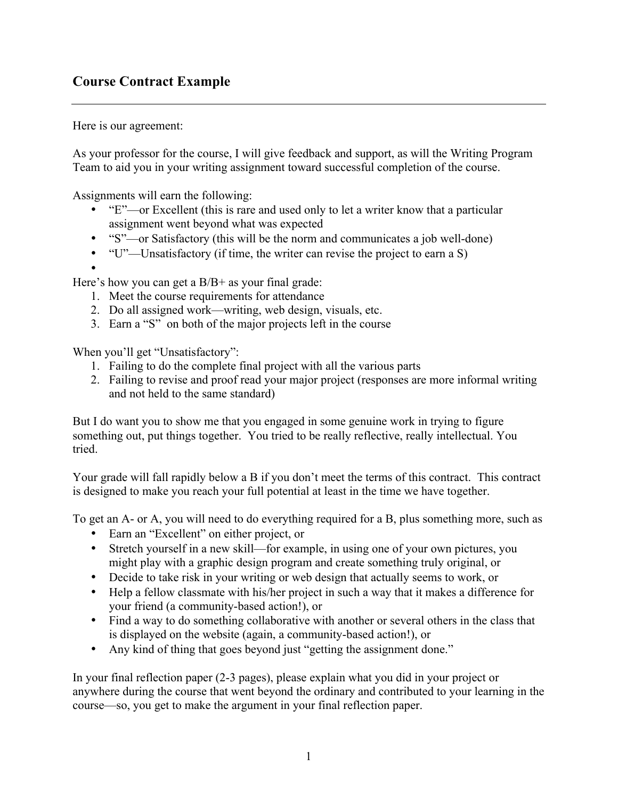## **Course Contract Example**

Here is our agreement:

As your professor for the course, I will give feedback and support, as will the Writing Program Team to aid you in your writing assignment toward successful completion of the course.

Assignments will earn the following:

- "E"—or Excellent (this is rare and used only to let a writer know that a particular assignment went beyond what was expected
- "S"—or Satisfactory (this will be the norm and communicates a job well-done)
- "U"—Unsatisfactory (if time, the writer can revise the project to earn a S)
- •

Here's how you can get a B/B+ as your final grade:

- 1. Meet the course requirements for attendance
- 2. Do all assigned work—writing, web design, visuals, etc.
- 3. Earn a "S" on both of the major projects left in the course

When you'll get "Unsatisfactory":

- 1. Failing to do the complete final project with all the various parts
- 2. Failing to revise and proof read your major project (responses are more informal writing and not held to the same standard)

But I do want you to show me that you engaged in some genuine work in trying to figure something out, put things together. You tried to be really reflective, really intellectual. You tried.

Your grade will fall rapidly below a B if you don't meet the terms of this contract. This contract is designed to make you reach your full potential at least in the time we have together.

To get an A- or A, you will need to do everything required for a B, plus something more, such as

- Earn an "Excellent" on either project, or
- Stretch yourself in a new skill—for example, in using one of your own pictures, you might play with a graphic design program and create something truly original, or
- Decide to take risk in your writing or web design that actually seems to work, or
- Help a fellow classmate with his/her project in such a way that it makes a difference for your friend (a community-based action!), or
- Find a way to do something collaborative with another or several others in the class that is displayed on the website (again, a community-based action!), or
- Any kind of thing that goes beyond just "getting the assignment done."

In your final reflection paper (2-3 pages), please explain what you did in your project or anywhere during the course that went beyond the ordinary and contributed to your learning in the course—so, you get to make the argument in your final reflection paper.